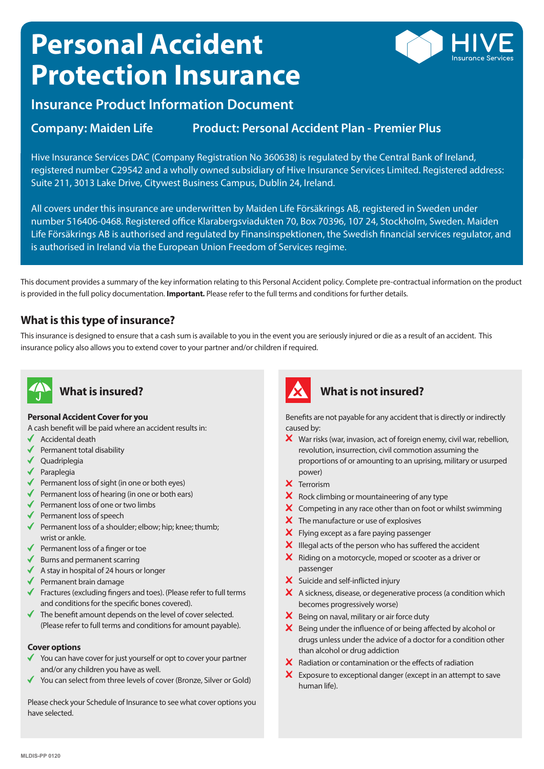# **Personal Accident Protection Insurance**



# **Insurance Product Information Document**

## **Company: Maiden Life Product: Personal Accident Plan - Premier Plus**

Hive Insurance Services DAC (Company Registration No 360638) is regulated by the Central Bank of Ireland, registered number C29542 and a wholly owned subsidiary of Hive Insurance Services Limited. Registered address: Suite 211, 3013 Lake Drive, Citywest Business Campus, Dublin 24, Ireland.

All covers under this insurance are underwritten by Maiden Life Försäkrings AB, registered in Sweden under number 516406-0468. Registered office Klarabergsviadukten 70, Box 70396, 107 24, Stockholm, Sweden. Maiden Life Försäkrings AB is authorised and regulated by Finansinspektionen, the Swedish financial services regulator, and is authorised in Ireland via the European Union Freedom of Services regime.

This document provides a summary of the key information relating to this Personal Accident policy. Complete pre-contractual information on the product is provided in the full policy documentation. **Important.** Please refer to the full terms and conditions for further details.

#### **What is this type of insurance?**

This insurance is designed to ensure that a cash sum is available to you in the event you are seriously injured or die as a result of an accident. This insurance policy also allows you to extend cover to your partner and/or children if required.



## **What is insured?**

#### **Personal Accident Cover for you**

- A cash benefit will be paid where an accident results in:
- $\triangleleft$  Accidental death
- $\blacklozenge$  Permanent total disability
- ◆ Quadriplegia
- $\sqrt{}$  Paraplegia
- $\blacklozenge$  Permanent loss of sight (in one or both eyes)
- $\blacklozenge$  Permanent loss of hearing (in one or both ears)
- $\blacklozenge$  Permanent loss of one or two limbs
- $\blacklozenge$  Permanent loss of speech
- Permanent loss of a shoulder; elbow; hip; knee; thumb; wrist or ankle.
- $\blacklozenge$  Permanent loss of a finger or toe
- $\blacklozenge$  Burns and permanent scarring
- $\blacklozenge$  A stay in hospital of 24 hours or longer
- $\blacklozenge$  Permanent brain damage
- Fractures (excluding fingers and toes). (Please refer to full terms and conditions for the specific bones covered).
- $\checkmark$ The benefit amount depends on the level of cover selected. (Please refer to full terms and conditions for amount payable).

#### **Cover options**

- Y ou can have cover for just yourself or opt to cover your partner and/or any children you have as well.
- ◆ You can select from three levels of cover (Bronze, Silver or Gold)

Please check your Schedule of Insurance to see what cover options you have selected.



## **What is not insured?**

Benefits are not payable for any accident that is directly or indirectly caused by:

- $\boldsymbol{\times}$  War risks (war, invasion, act of foreign enemy, civil war, rebellion, revolution, insurrection, civil commotion assuming the proportions of or amounting to an uprising, military or usurped power)
- X Terrorism
- $\mathsf{\times}\;$  Rock climbing or mountaineering of any type
- $\boldsymbol{\times}$  Competing in any race other than on foot or whilst swimming
- X The manufacture or use of explosives
- **X** Flying except as a fare paying passenger
- $\mathsf{\times}$  Illegal acts of the person who has suffered the accident
- X Riding on a motorcycle, moped or scooter as a driver or passenger
- X Suicide and self-inflicted injury
- A sickness, disease, or degenerative process (a condition which becomes progressively worse)
- X Being on naval, military or air force duty
- $\mathsf{\times}$  Being under the influence of or being affected by alcohol or drugs unless under the advice of a doctor for a condition other than alcohol or drug addiction
- $\boldsymbol{\times}$  Radiation or contamination or the effects of radiation
- X Exposure to exceptional danger (except in an attempt to save human life).